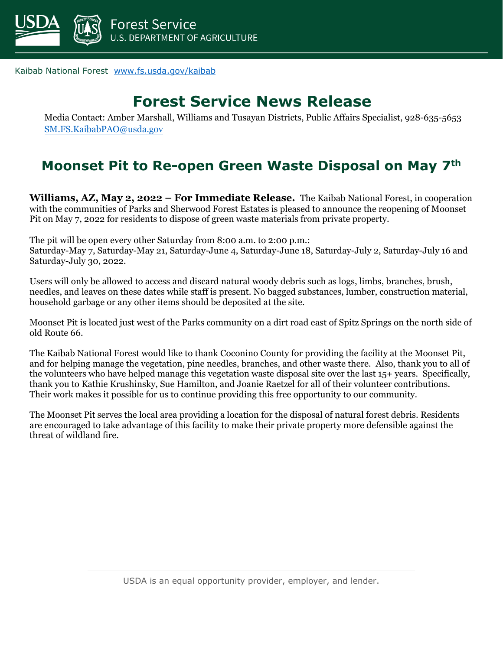

Kaibab National Forest [www.fs.usda.gov/kaibab](http://www.fs.usda.gov/kaibab)

#### **Forest Service News Release**

Media Contact: Amber Marshall, Williams and Tusayan Districts, Public Affairs Specialist, 928-635-5653 [SM.FS.KaibabPAO@usda.gov](mailto:SM.FS.KaibabPAO@usda.gov)

#### **Moonset Pit to Re-open Green Waste Disposal on May 7th**

**Williams, AZ, May 2, 2022 – For Immediate Release.** The Kaibab National Forest, in cooperation with the communities of Parks and Sherwood Forest Estates is pleased to announce the reopening of Moonset Pit on May 7, 2022 for residents to dispose of green waste materials from private property.

The pit will be open every other Saturday from 8:00 a.m. to 2:00 p.m.:

Saturday-May 7, Saturday-May 21, Saturday-June 4, Saturday-June 18, Saturday-July 2, Saturday-July 16 and Saturday-July 30, 2022.

Users will only be allowed to access and discard natural woody debris such as logs, limbs, branches, brush, needles, and leaves on these dates while staff is present. No bagged substances, lumber, construction material, household garbage or any other items should be deposited at the site.

Moonset Pit is located just west of the Parks community on a dirt road east of Spitz Springs on the north side of old Route 66.

The Kaibab National Forest would like to thank Coconino County for providing the facility at the Moonset Pit, and for helping manage the vegetation, pine needles, branches, and other waste there. Also, thank you to all of the volunteers who have helped manage this vegetation waste disposal site over the last 15+ years. Specifically, thank you to Kathie Krushinsky, Sue Hamilton, and Joanie Raetzel for all of their volunteer contributions. Their work makes it possible for us to continue providing this free opportunity to our community.

The Moonset Pit serves the local area providing a location for the disposal of natural forest debris. Residents are encouraged to take advantage of this facility to make their private property more defensible against the threat of wildland fire.